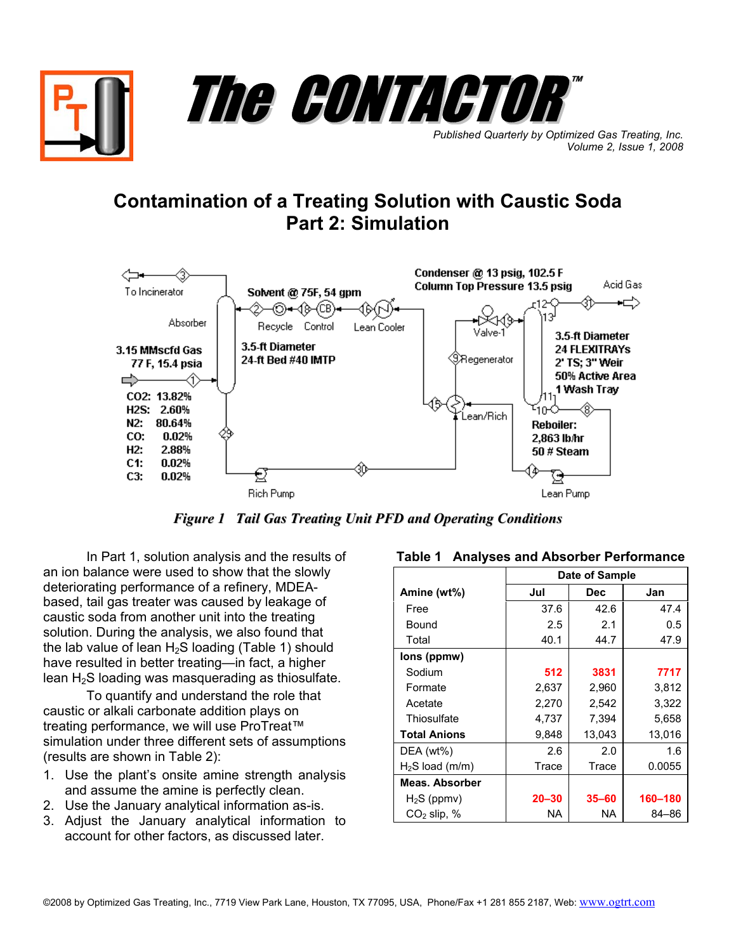

## **Contamination of a Treating Solution with Caustic Soda Part 2: Simulation**



*Figure 1 Tail Gas Treating Unit PFD and Operating Conditions*

In Part 1, solution analysis and the results of an ion balance were used to show that the slowly deteriorating performance of a refinery, MDEAbased, tail gas treater was caused by leakage of caustic soda from another unit into the treating solution. During the analysis, we also found that the lab value of lean  $H_2S$  loading (Table 1) should have resulted in better treating—in fact, a higher lean H2S loading was masquerading as thiosulfate.

To quantify and understand the role that caustic or alkali carbonate addition plays on treating performance, we will use ProTreat™ simulation under three different sets of assumptions (results are shown in Table 2):

- 1. Use the plant's onsite amine strength analysis and assume the amine is perfectly clean.
- 2. Use the January analytical information as-is.
- 3. Adjust the January analytical information to account for other factors, as discussed later.

|                     | Date of Sample |            |         |
|---------------------|----------------|------------|---------|
| Amine (wt%)         | Jul            | <b>Dec</b> | Jan     |
| Free                | 37.6           | 42.6       | 47.4    |
| Bound               | 2.5            | 2.1        | 0.5     |
| Total               | 40.1           | 44.7       | 47.9    |
| lons (ppmw)         |                |            |         |
| Sodium              | 512            | 3831       | 7717    |
| Formate             | 2,637          | 2,960      | 3,812   |
| Acetate             | 2,270          | 2,542      | 3,322   |
| Thiosulfate         | 4,737          | 7,394      | 5,658   |
| <b>Total Anions</b> | 9,848          | 13,043     | 13.016  |
| $DEA (wt\%)$        | 2.6            | 2.0        | 1.6     |
| $H2S$ load (m/m)    | Trace          | Trace      | 0.0055  |
| Meas, Absorber      |                |            |         |
| $H_2S$ (ppmv)       | $20 - 30$      | $35 - 60$  | 160-180 |
| $CO2$ slip, $%$     | NA             | NA         | 84-86   |

## **Table 1 Analyses and Absorber Performance**